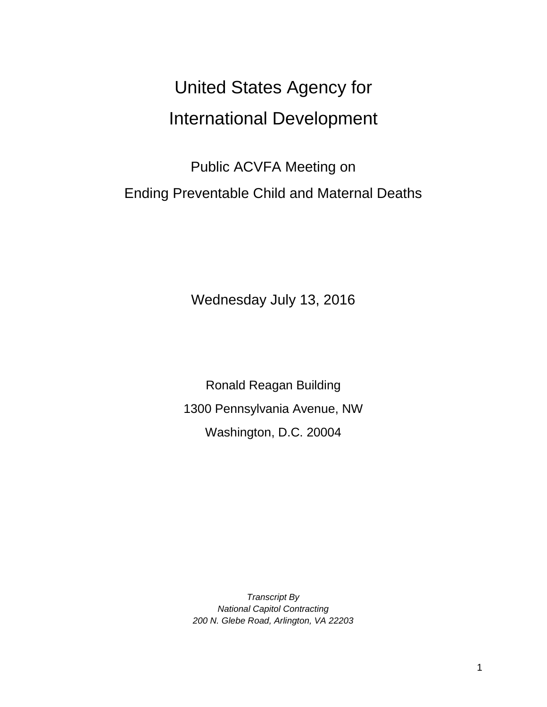# United States Agency for International Development

Public ACVFA Meeting on Ending Preventable Child and Maternal Deaths

Wednesday July 13, 2016

Ronald Reagan Building 1300 Pennsylvania Avenue, NW Washington, D.C. 20004

*Transcript By National Capitol Contracting 200 N. Glebe Road, Arlington, VA 22203*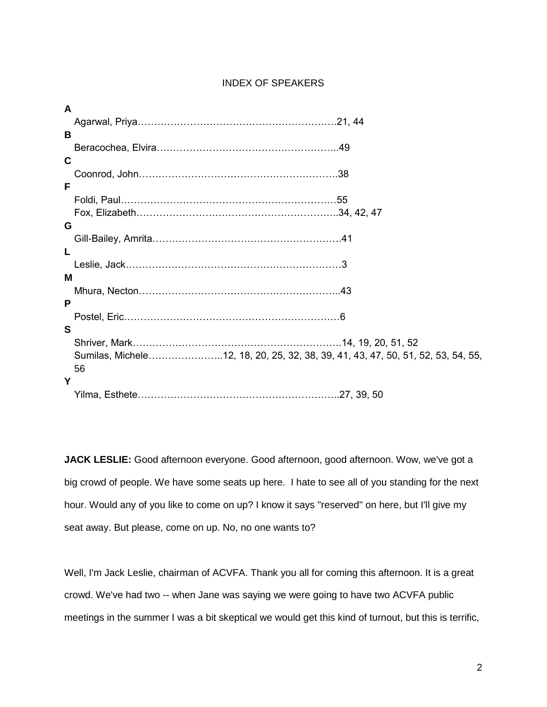# INDEX OF SPEAKERS

| A           |                                                                                 |
|-------------|---------------------------------------------------------------------------------|
|             |                                                                                 |
| B           |                                                                                 |
|             |                                                                                 |
| $\mathbf c$ |                                                                                 |
|             |                                                                                 |
| F           |                                                                                 |
|             |                                                                                 |
|             |                                                                                 |
| G           |                                                                                 |
|             |                                                                                 |
| L           |                                                                                 |
|             |                                                                                 |
| м           |                                                                                 |
|             |                                                                                 |
| P           |                                                                                 |
|             |                                                                                 |
| S           |                                                                                 |
|             |                                                                                 |
|             | Sumilas, Michele12, 18, 20, 25, 32, 38, 39, 41, 43, 47, 50, 51, 52, 53, 54, 55, |
|             | 56                                                                              |
| Υ           |                                                                                 |
|             |                                                                                 |

**JACK LESLIE:** Good afternoon everyone. Good afternoon, good afternoon. Wow, we've got a big crowd of people. We have some seats up here. I hate to see all of you standing for the next hour. Would any of you like to come on up? I know it says "reserved" on here, but I'll give my seat away. But please, come on up. No, no one wants to?

Well, I'm Jack Leslie, chairman of ACVFA. Thank you all for coming this afternoon. It is a great crowd. We've had two -- when Jane was saying we were going to have two ACVFA public meetings in the summer I was a bit skeptical we would get this kind of turnout, but this is terrific,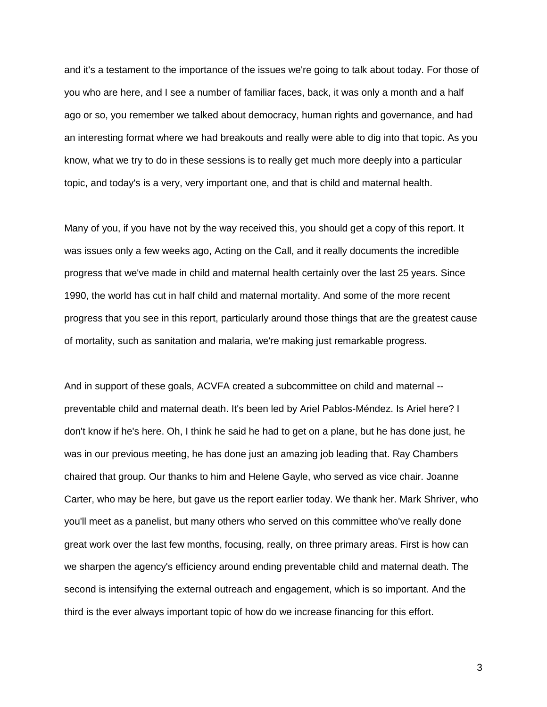and it's a testament to the importance of the issues we're going to talk about today. For those of you who are here, and I see a number of familiar faces, back, it was only a month and a half ago or so, you remember we talked about democracy, human rights and governance, and had an interesting format where we had breakouts and really were able to dig into that topic. As you know, what we try to do in these sessions is to really get much more deeply into a particular topic, and today's is a very, very important one, and that is child and maternal health.

Many of you, if you have not by the way received this, you should get a copy of this report. It was issues only a few weeks ago, Acting on the Call, and it really documents the incredible progress that we've made in child and maternal health certainly over the last 25 years. Since 1990, the world has cut in half child and maternal mortality. And some of the more recent progress that you see in this report, particularly around those things that are the greatest cause of mortality, such as sanitation and malaria, we're making just remarkable progress.

And in support of these goals, ACVFA created a subcommittee on child and maternal - preventable child and maternal death. It's been led by Ariel Pablos-Méndez. Is Ariel here? I don't know if he's here. Oh, I think he said he had to get on a plane, but he has done just, he was in our previous meeting, he has done just an amazing job leading that. Ray Chambers chaired that group. Our thanks to him and Helene Gayle, who served as vice chair. Joanne Carter, who may be here, but gave us the report earlier today. We thank her. Mark Shriver, who you'll meet as a panelist, but many others who served on this committee who've really done great work over the last few months, focusing, really, on three primary areas. First is how can we sharpen the agency's efficiency around ending preventable child and maternal death. The second is intensifying the external outreach and engagement, which is so important. And the third is the ever always important topic of how do we increase financing for this effort.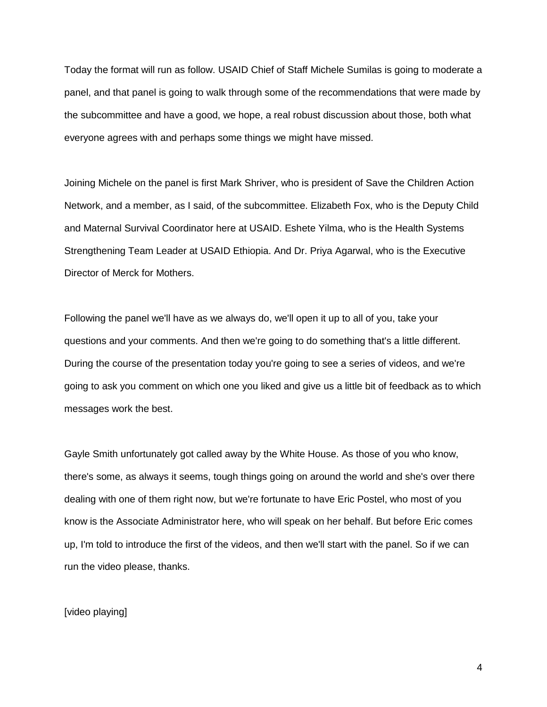Today the format will run as follow. USAID Chief of Staff Michele Sumilas is going to moderate a panel, and that panel is going to walk through some of the recommendations that were made by the subcommittee and have a good, we hope, a real robust discussion about those, both what everyone agrees with and perhaps some things we might have missed.

Joining Michele on the panel is first Mark Shriver, who is president of Save the Children Action Network, and a member, as I said, of the subcommittee. Elizabeth Fox, who is the Deputy Child and Maternal Survival Coordinator here at USAID. Eshete Yilma, who is the Health Systems Strengthening Team Leader at USAID Ethiopia. And Dr. Priya Agarwal, who is the Executive Director of Merck for Mothers.

Following the panel we'll have as we always do, we'll open it up to all of you, take your questions and your comments. And then we're going to do something that's a little different. During the course of the presentation today you're going to see a series of videos, and we're going to ask you comment on which one you liked and give us a little bit of feedback as to which messages work the best.

Gayle Smith unfortunately got called away by the White House. As those of you who know, there's some, as always it seems, tough things going on around the world and she's over there dealing with one of them right now, but we're fortunate to have Eric Postel, who most of you know is the Associate Administrator here, who will speak on her behalf. But before Eric comes up, I'm told to introduce the first of the videos, and then we'll start with the panel. So if we can run the video please, thanks.

[video playing]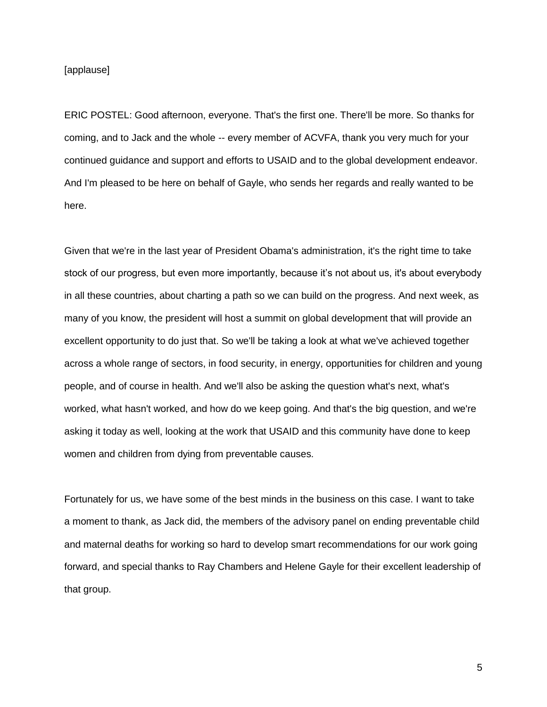[applause]

ERIC POSTEL: Good afternoon, everyone. That's the first one. There'll be more. So thanks for coming, and to Jack and the whole -- every member of ACVFA, thank you very much for your continued guidance and support and efforts to USAID and to the global development endeavor. And I'm pleased to be here on behalf of Gayle, who sends her regards and really wanted to be here.

Given that we're in the last year of President Obama's administration, it's the right time to take stock of our progress, but even more importantly, because it's not about us, it's about everybody in all these countries, about charting a path so we can build on the progress. And next week, as many of you know, the president will host a summit on global development that will provide an excellent opportunity to do just that. So we'll be taking a look at what we've achieved together across a whole range of sectors, in food security, in energy, opportunities for children and young people, and of course in health. And we'll also be asking the question what's next, what's worked, what hasn't worked, and how do we keep going. And that's the big question, and we're asking it today as well, looking at the work that USAID and this community have done to keep women and children from dying from preventable causes.

Fortunately for us, we have some of the best minds in the business on this case. I want to take a moment to thank, as Jack did, the members of the advisory panel on ending preventable child and maternal deaths for working so hard to develop smart recommendations for our work going forward, and special thanks to Ray Chambers and Helene Gayle for their excellent leadership of that group.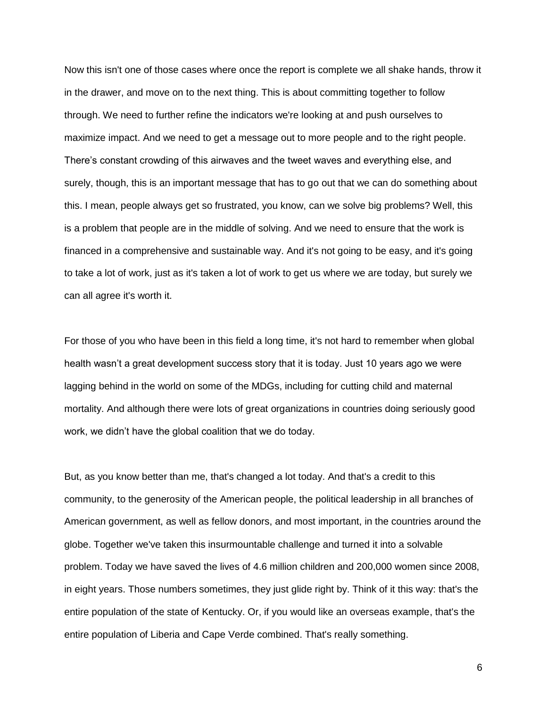Now this isn't one of those cases where once the report is complete we all shake hands, throw it in the drawer, and move on to the next thing. This is about committing together to follow through. We need to further refine the indicators we're looking at and push ourselves to maximize impact. And we need to get a message out to more people and to the right people. There's constant crowding of this airwaves and the tweet waves and everything else, and surely, though, this is an important message that has to go out that we can do something about this. I mean, people always get so frustrated, you know, can we solve big problems? Well, this is a problem that people are in the middle of solving. And we need to ensure that the work is financed in a comprehensive and sustainable way. And it's not going to be easy, and it's going to take a lot of work, just as it's taken a lot of work to get us where we are today, but surely we can all agree it's worth it.

For those of you who have been in this field a long time, it's not hard to remember when global health wasn't a great development success story that it is today. Just 10 years ago we were lagging behind in the world on some of the MDGs, including for cutting child and maternal mortality. And although there were lots of great organizations in countries doing seriously good work, we didn't have the global coalition that we do today.

But, as you know better than me, that's changed a lot today. And that's a credit to this community, to the generosity of the American people, the political leadership in all branches of American government, as well as fellow donors, and most important, in the countries around the globe. Together we've taken this insurmountable challenge and turned it into a solvable problem. Today we have saved the lives of 4.6 million children and 200,000 women since 2008, in eight years. Those numbers sometimes, they just glide right by. Think of it this way: that's the entire population of the state of Kentucky. Or, if you would like an overseas example, that's the entire population of Liberia and Cape Verde combined. That's really something.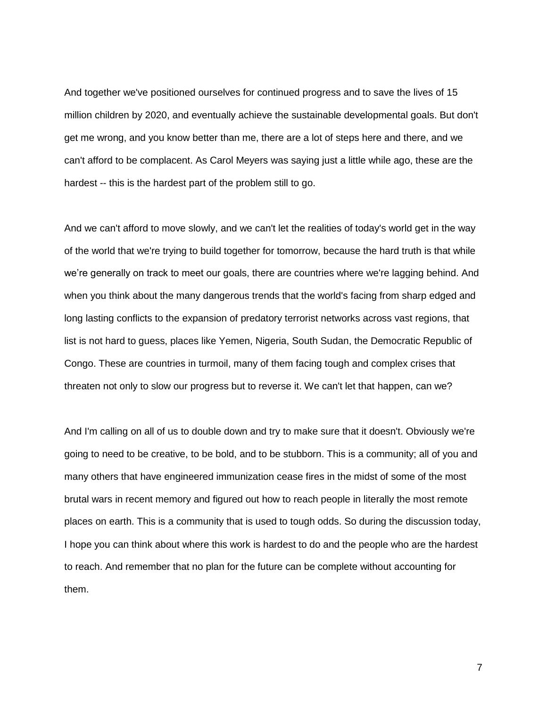And together we've positioned ourselves for continued progress and to save the lives of 15 million children by 2020, and eventually achieve the sustainable developmental goals. But don't get me wrong, and you know better than me, there are a lot of steps here and there, and we can't afford to be complacent. As Carol Meyers was saying just a little while ago, these are the hardest -- this is the hardest part of the problem still to go.

And we can't afford to move slowly, and we can't let the realities of today's world get in the way of the world that we're trying to build together for tomorrow, because the hard truth is that while we're generally on track to meet our goals, there are countries where we're lagging behind. And when you think about the many dangerous trends that the world's facing from sharp edged and long lasting conflicts to the expansion of predatory terrorist networks across vast regions, that list is not hard to guess, places like Yemen, Nigeria, South Sudan, the Democratic Republic of Congo. These are countries in turmoil, many of them facing tough and complex crises that threaten not only to slow our progress but to reverse it. We can't let that happen, can we?

And I'm calling on all of us to double down and try to make sure that it doesn't. Obviously we're going to need to be creative, to be bold, and to be stubborn. This is a community; all of you and many others that have engineered immunization cease fires in the midst of some of the most brutal wars in recent memory and figured out how to reach people in literally the most remote places on earth. This is a community that is used to tough odds. So during the discussion today, I hope you can think about where this work is hardest to do and the people who are the hardest to reach. And remember that no plan for the future can be complete without accounting for them.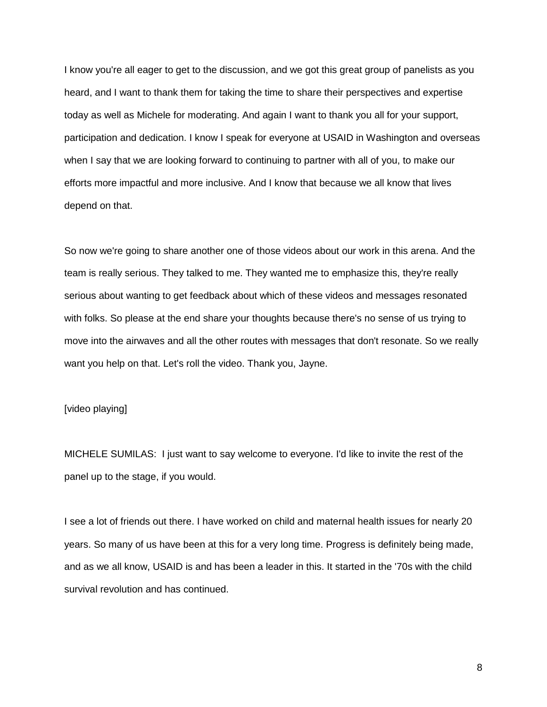I know you're all eager to get to the discussion, and we got this great group of panelists as you heard, and I want to thank them for taking the time to share their perspectives and expertise today as well as Michele for moderating. And again I want to thank you all for your support, participation and dedication. I know I speak for everyone at USAID in Washington and overseas when I say that we are looking forward to continuing to partner with all of you, to make our efforts more impactful and more inclusive. And I know that because we all know that lives depend on that.

So now we're going to share another one of those videos about our work in this arena. And the team is really serious. They talked to me. They wanted me to emphasize this, they're really serious about wanting to get feedback about which of these videos and messages resonated with folks. So please at the end share your thoughts because there's no sense of us trying to move into the airwaves and all the other routes with messages that don't resonate. So we really want you help on that. Let's roll the video. Thank you, Jayne.

# [video playing]

MICHELE SUMILAS: I just want to say welcome to everyone. I'd like to invite the rest of the panel up to the stage, if you would.

I see a lot of friends out there. I have worked on child and maternal health issues for nearly 20 years. So many of us have been at this for a very long time. Progress is definitely being made, and as we all know, USAID is and has been a leader in this. It started in the '70s with the child survival revolution and has continued.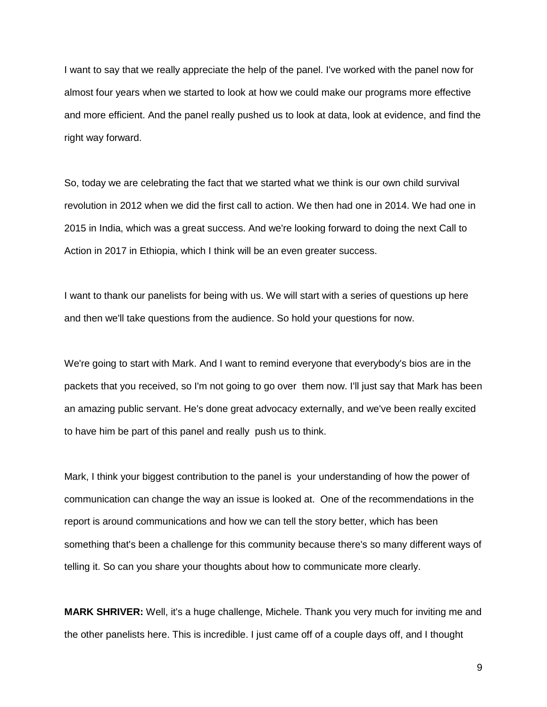I want to say that we really appreciate the help of the panel. I've worked with the panel now for almost four years when we started to look at how we could make our programs more effective and more efficient. And the panel really pushed us to look at data, look at evidence, and find the right way forward.

So, today we are celebrating the fact that we started what we think is our own child survival revolution in 2012 when we did the first call to action. We then had one in 2014. We had one in 2015 in India, which was a great success. And we're looking forward to doing the next Call to Action in 2017 in Ethiopia, which I think will be an even greater success.

I want to thank our panelists for being with us. We will start with a series of questions up here and then we'll take questions from the audience. So hold your questions for now.

We're going to start with Mark. And I want to remind everyone that everybody's bios are in the packets that you received, so I'm not going to go over them now. I'll just say that Mark has been an amazing public servant. He's done great advocacy externally, and we've been really excited to have him be part of this panel and really push us to think.

Mark, I think your biggest contribution to the panel is your understanding of how the power of communication can change the way an issue is looked at. One of the recommendations in the report is around communications and how we can tell the story better, which has been something that's been a challenge for this community because there's so many different ways of telling it. So can you share your thoughts about how to communicate more clearly.

**MARK SHRIVER:** Well, it's a huge challenge, Michele. Thank you very much for inviting me and the other panelists here. This is incredible. I just came off of a couple days off, and I thought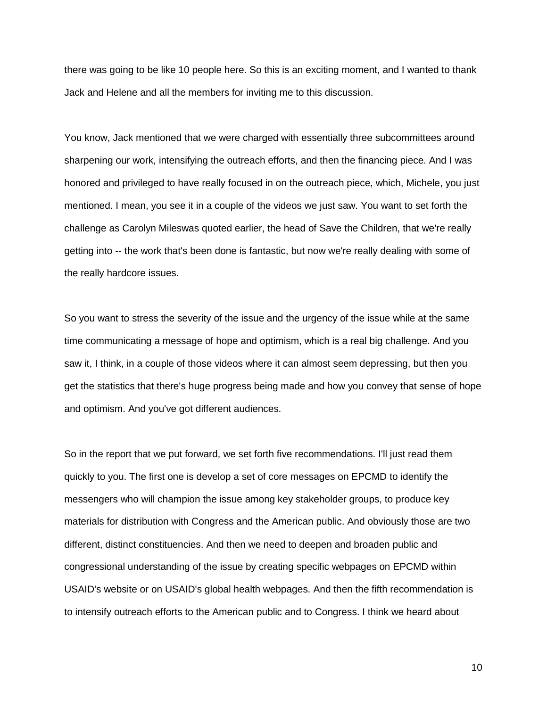there was going to be like 10 people here. So this is an exciting moment, and I wanted to thank Jack and Helene and all the members for inviting me to this discussion.

You know, Jack mentioned that we were charged with essentially three subcommittees around sharpening our work, intensifying the outreach efforts, and then the financing piece. And I was honored and privileged to have really focused in on the outreach piece, which, Michele, you just mentioned. I mean, you see it in a couple of the videos we just saw. You want to set forth the challenge as Carolyn Mileswas quoted earlier, the head of Save the Children, that we're really getting into -- the work that's been done is fantastic, but now we're really dealing with some of the really hardcore issues.

So you want to stress the severity of the issue and the urgency of the issue while at the same time communicating a message of hope and optimism, which is a real big challenge. And you saw it, I think, in a couple of those videos where it can almost seem depressing, but then you get the statistics that there's huge progress being made and how you convey that sense of hope and optimism. And you've got different audiences.

So in the report that we put forward, we set forth five recommendations. I'll just read them quickly to you. The first one is develop a set of core messages on EPCMD to identify the messengers who will champion the issue among key stakeholder groups, to produce key materials for distribution with Congress and the American public. And obviously those are two different, distinct constituencies. And then we need to deepen and broaden public and congressional understanding of the issue by creating specific webpages on EPCMD within USAID's website or on USAID's global health webpages. And then the fifth recommendation is to intensify outreach efforts to the American public and to Congress. I think we heard about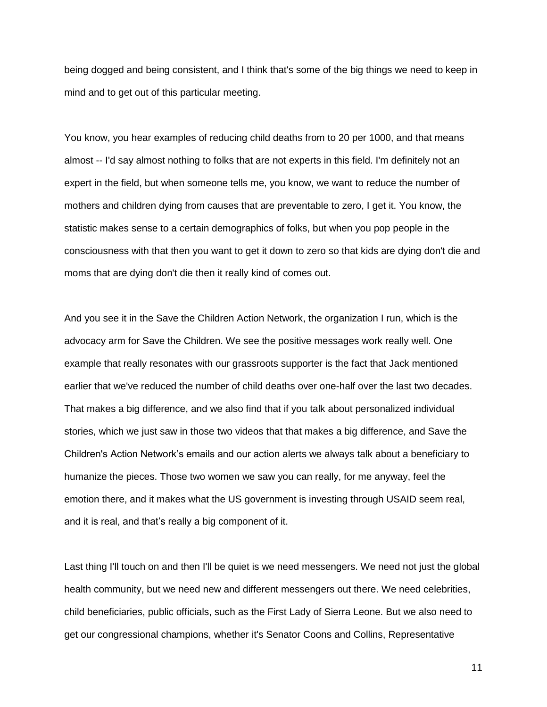being dogged and being consistent, and I think that's some of the big things we need to keep in mind and to get out of this particular meeting.

You know, you hear examples of reducing child deaths from to 20 per 1000, and that means almost -- I'd say almost nothing to folks that are not experts in this field. I'm definitely not an expert in the field, but when someone tells me, you know, we want to reduce the number of mothers and children dying from causes that are preventable to zero, I get it. You know, the statistic makes sense to a certain demographics of folks, but when you pop people in the consciousness with that then you want to get it down to zero so that kids are dying don't die and moms that are dying don't die then it really kind of comes out.

And you see it in the Save the Children Action Network, the organization I run, which is the advocacy arm for Save the Children. We see the positive messages work really well. One example that really resonates with our grassroots supporter is the fact that Jack mentioned earlier that we've reduced the number of child deaths over one-half over the last two decades. That makes a big difference, and we also find that if you talk about personalized individual stories, which we just saw in those two videos that that makes a big difference, and Save the Children's Action Network's emails and our action alerts we always talk about a beneficiary to humanize the pieces. Those two women we saw you can really, for me anyway, feel the emotion there, and it makes what the US government is investing through USAID seem real, and it is real, and that's really a big component of it.

Last thing I'll touch on and then I'll be quiet is we need messengers. We need not just the global health community, but we need new and different messengers out there. We need celebrities, child beneficiaries, public officials, such as the First Lady of Sierra Leone. But we also need to get our congressional champions, whether it's Senator Coons and Collins, Representative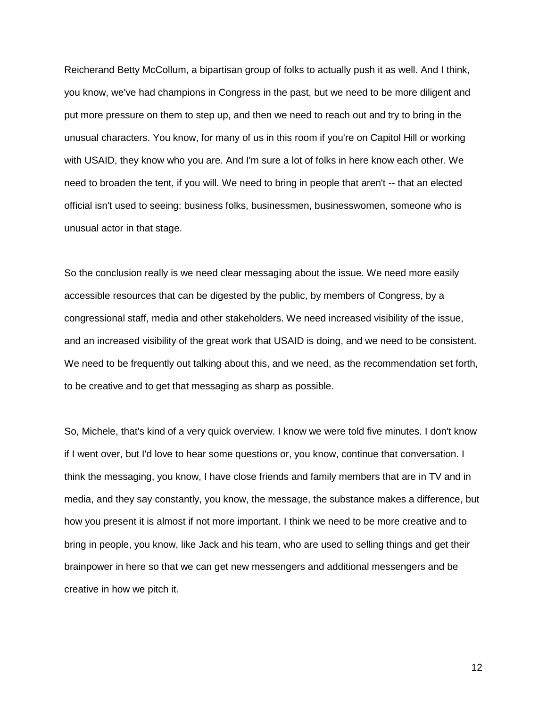Reicherand Betty McCollum, a bipartisan group of folks to actually push it as well. And I think, you know, we've had champions in Congress in the past, but we need to be more diligent and put more pressure on them to step up, and then we need to reach out and try to bring in the unusual characters. You know, for many of us in this room if you're on Capitol Hill or working with USAID, they know who you are. And I'm sure a lot of folks in here know each other. We need to broaden the tent, if you will. We need to bring in people that aren't -- that an elected official isn't used to seeing: business folks, businessmen, businesswomen, someone who is unusual actor in that stage.

So the conclusion really is we need clear messaging about the issue. We need more easily accessible resources that can be digested by the public, by members of Congress, by a congressional staff, media and other stakeholders. We need increased visibility of the issue, and an increased visibility of the great work that USAID is doing, and we need to be consistent. We need to be frequently out talking about this, and we need, as the recommendation set forth, to be creative and to get that messaging as sharp as possible.

So, Michele, that's kind of a very quick overview. I know we were told five minutes. I don't know if I went over, but I'd love to hear some questions or, you know, continue that conversation. I think the messaging, you know, I have close friends and family members that are in TV and in media, and they say constantly, you know, the message, the substance makes a difference, but how you present it is almost if not more important. I think we need to be more creative and to bring in people, you know, like Jack and his team, who are used to selling things and get their brainpower in here so that we can get new messengers and additional messengers and be creative in how we pitch it.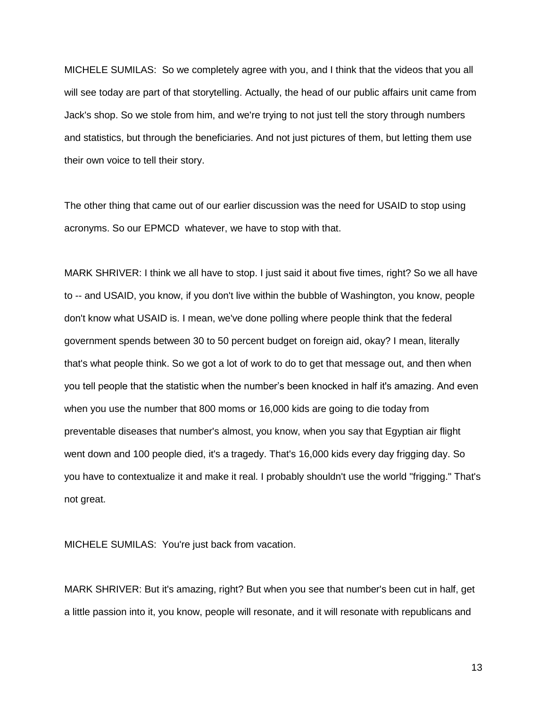MICHELE SUMILAS: So we completely agree with you, and I think that the videos that you all will see today are part of that storytelling. Actually, the head of our public affairs unit came from Jack's shop. So we stole from him, and we're trying to not just tell the story through numbers and statistics, but through the beneficiaries. And not just pictures of them, but letting them use their own voice to tell their story.

The other thing that came out of our earlier discussion was the need for USAID to stop using acronyms. So our EPMCD whatever, we have to stop with that.

MARK SHRIVER: I think we all have to stop. I just said it about five times, right? So we all have to -- and USAID, you know, if you don't live within the bubble of Washington, you know, people don't know what USAID is. I mean, we've done polling where people think that the federal government spends between 30 to 50 percent budget on foreign aid, okay? I mean, literally that's what people think. So we got a lot of work to do to get that message out, and then when you tell people that the statistic when the number's been knocked in half it's amazing. And even when you use the number that 800 moms or 16,000 kids are going to die today from preventable diseases that number's almost, you know, when you say that Egyptian air flight went down and 100 people died, it's a tragedy. That's 16,000 kids every day frigging day. So you have to contextualize it and make it real. I probably shouldn't use the world "frigging." That's not great.

MICHELE SUMILAS: You're just back from vacation.

MARK SHRIVER: But it's amazing, right? But when you see that number's been cut in half, get a little passion into it, you know, people will resonate, and it will resonate with republicans and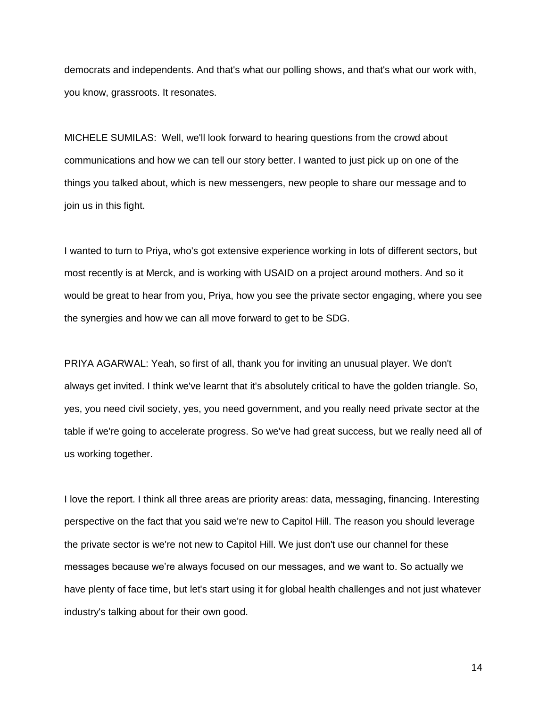democrats and independents. And that's what our polling shows, and that's what our work with, you know, grassroots. It resonates.

MICHELE SUMILAS: Well, we'll look forward to hearing questions from the crowd about communications and how we can tell our story better. I wanted to just pick up on one of the things you talked about, which is new messengers, new people to share our message and to join us in this fight.

I wanted to turn to Priya, who's got extensive experience working in lots of different sectors, but most recently is at Merck, and is working with USAID on a project around mothers. And so it would be great to hear from you, Priya, how you see the private sector engaging, where you see the synergies and how we can all move forward to get to be SDG.

PRIYA AGARWAL: Yeah, so first of all, thank you for inviting an unusual player. We don't always get invited. I think we've learnt that it's absolutely critical to have the golden triangle. So, yes, you need civil society, yes, you need government, and you really need private sector at the table if we're going to accelerate progress. So we've had great success, but we really need all of us working together.

I love the report. I think all three areas are priority areas: data, messaging, financing. Interesting perspective on the fact that you said we're new to Capitol Hill. The reason you should leverage the private sector is we're not new to Capitol Hill. We just don't use our channel for these messages because we're always focused on our messages, and we want to. So actually we have plenty of face time, but let's start using it for global health challenges and not just whatever industry's talking about for their own good.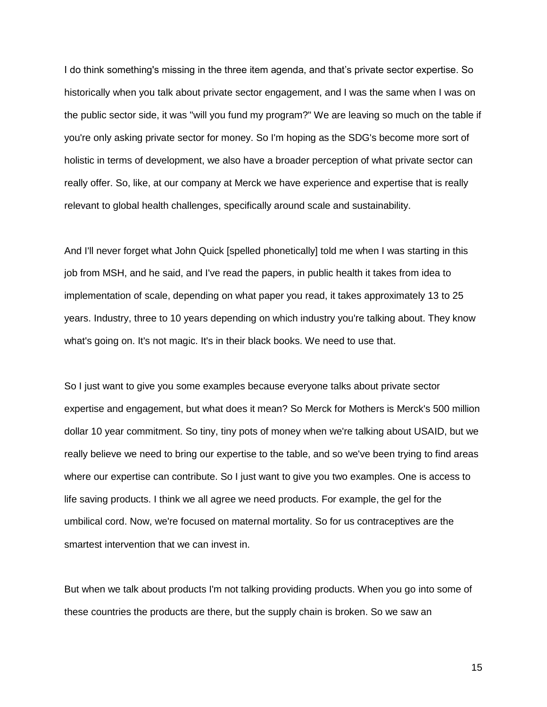I do think something's missing in the three item agenda, and that's private sector expertise. So historically when you talk about private sector engagement, and I was the same when I was on the public sector side, it was "will you fund my program?" We are leaving so much on the table if you're only asking private sector for money. So I'm hoping as the SDG's become more sort of holistic in terms of development, we also have a broader perception of what private sector can really offer. So, like, at our company at Merck we have experience and expertise that is really relevant to global health challenges, specifically around scale and sustainability.

And I'll never forget what John Quick [spelled phonetically] told me when I was starting in this job from MSH, and he said, and I've read the papers, in public health it takes from idea to implementation of scale, depending on what paper you read, it takes approximately 13 to 25 years. Industry, three to 10 years depending on which industry you're talking about. They know what's going on. It's not magic. It's in their black books. We need to use that.

So I just want to give you some examples because everyone talks about private sector expertise and engagement, but what does it mean? So Merck for Mothers is Merck's 500 million dollar 10 year commitment. So tiny, tiny pots of money when we're talking about USAID, but we really believe we need to bring our expertise to the table, and so we've been trying to find areas where our expertise can contribute. So I just want to give you two examples. One is access to life saving products. I think we all agree we need products. For example, the gel for the umbilical cord. Now, we're focused on maternal mortality. So for us contraceptives are the smartest intervention that we can invest in.

But when we talk about products I'm not talking providing products. When you go into some of these countries the products are there, but the supply chain is broken. So we saw an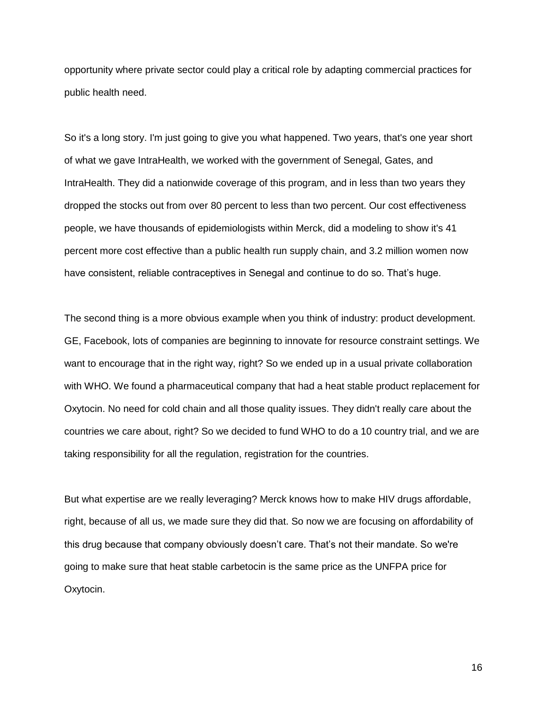opportunity where private sector could play a critical role by adapting commercial practices for public health need.

So it's a long story. I'm just going to give you what happened. Two years, that's one year short of what we gave IntraHealth, we worked with the government of Senegal, Gates, and IntraHealth. They did a nationwide coverage of this program, and in less than two years they dropped the stocks out from over 80 percent to less than two percent. Our cost effectiveness people, we have thousands of epidemiologists within Merck, did a modeling to show it's 41 percent more cost effective than a public health run supply chain, and 3.2 million women now have consistent, reliable contraceptives in Senegal and continue to do so. That's huge.

The second thing is a more obvious example when you think of industry: product development. GE, Facebook, lots of companies are beginning to innovate for resource constraint settings. We want to encourage that in the right way, right? So we ended up in a usual private collaboration with WHO. We found a pharmaceutical company that had a heat stable product replacement for Oxytocin. No need for cold chain and all those quality issues. They didn't really care about the countries we care about, right? So we decided to fund WHO to do a 10 country trial, and we are taking responsibility for all the regulation, registration for the countries.

But what expertise are we really leveraging? Merck knows how to make HIV drugs affordable, right, because of all us, we made sure they did that. So now we are focusing on affordability of this drug because that company obviously doesn't care. That's not their mandate. So we're going to make sure that heat stable carbetocin is the same price as the UNFPA price for Oxytocin.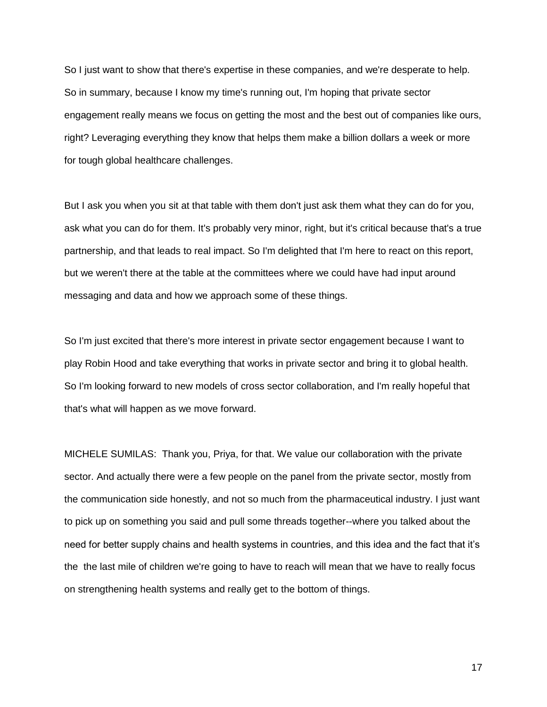So I just want to show that there's expertise in these companies, and we're desperate to help. So in summary, because I know my time's running out, I'm hoping that private sector engagement really means we focus on getting the most and the best out of companies like ours, right? Leveraging everything they know that helps them make a billion dollars a week or more for tough global healthcare challenges.

But I ask you when you sit at that table with them don't just ask them what they can do for you, ask what you can do for them. It's probably very minor, right, but it's critical because that's a true partnership, and that leads to real impact. So I'm delighted that I'm here to react on this report, but we weren't there at the table at the committees where we could have had input around messaging and data and how we approach some of these things.

So I'm just excited that there's more interest in private sector engagement because I want to play Robin Hood and take everything that works in private sector and bring it to global health. So I'm looking forward to new models of cross sector collaboration, and I'm really hopeful that that's what will happen as we move forward.

MICHELE SUMILAS: Thank you, Priya, for that. We value our collaboration with the private sector. And actually there were a few people on the panel from the private sector, mostly from the communication side honestly, and not so much from the pharmaceutical industry. I just want to pick up on something you said and pull some threads together--where you talked about the need for better supply chains and health systems in countries, and this idea and the fact that it's the the last mile of children we're going to have to reach will mean that we have to really focus on strengthening health systems and really get to the bottom of things.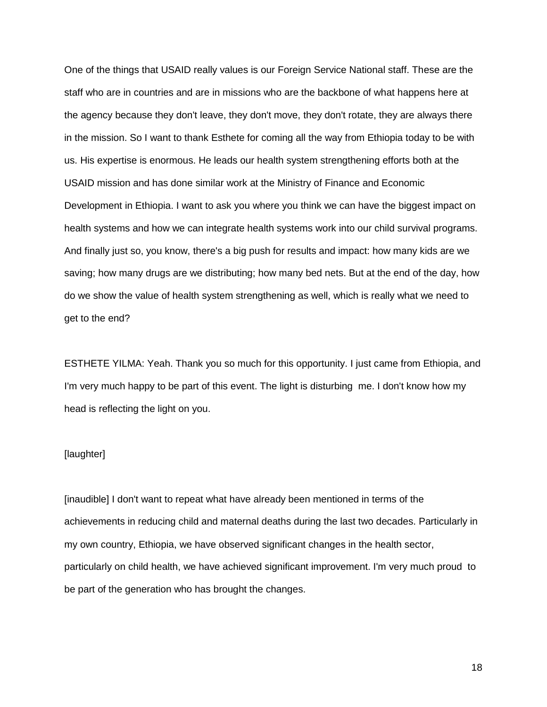One of the things that USAID really values is our Foreign Service National staff. These are the staff who are in countries and are in missions who are the backbone of what happens here at the agency because they don't leave, they don't move, they don't rotate, they are always there in the mission. So I want to thank Esthete for coming all the way from Ethiopia today to be with us. His expertise is enormous. He leads our health system strengthening efforts both at the USAID mission and has done similar work at the Ministry of Finance and Economic Development in Ethiopia. I want to ask you where you think we can have the biggest impact on health systems and how we can integrate health systems work into our child survival programs. And finally just so, you know, there's a big push for results and impact: how many kids are we saving; how many drugs are we distributing; how many bed nets. But at the end of the day, how do we show the value of health system strengthening as well, which is really what we need to get to the end?

ESTHETE YILMA: Yeah. Thank you so much for this opportunity. I just came from Ethiopia, and I'm very much happy to be part of this event. The light is disturbing me. I don't know how my head is reflecting the light on you.

# [laughter]

[inaudible] I don't want to repeat what have already been mentioned in terms of the achievements in reducing child and maternal deaths during the last two decades. Particularly in my own country, Ethiopia, we have observed significant changes in the health sector, particularly on child health, we have achieved significant improvement. I'm very much proud to be part of the generation who has brought the changes.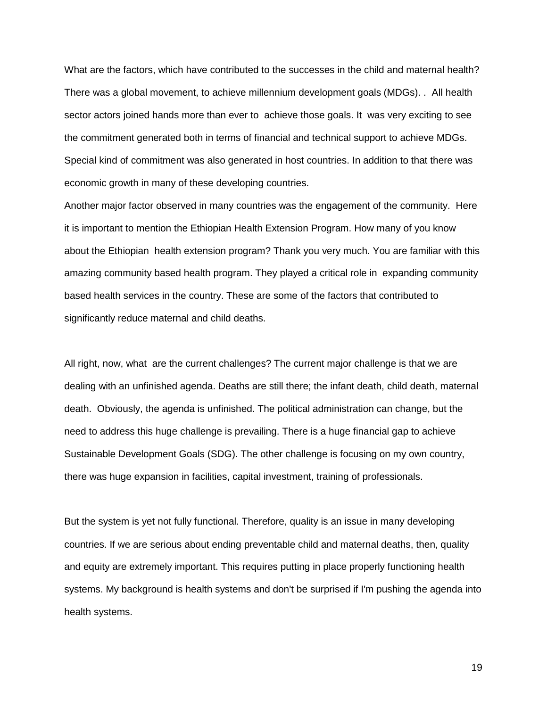What are the factors, which have contributed to the successes in the child and maternal health? There was a global movement, to achieve millennium development goals (MDGs). . All health sector actors joined hands more than ever to achieve those goals. It was very exciting to see the commitment generated both in terms of financial and technical support to achieve MDGs. Special kind of commitment was also generated in host countries. In addition to that there was economic growth in many of these developing countries.

Another major factor observed in many countries was the engagement of the community. Here it is important to mention the Ethiopian Health Extension Program. How many of you know about the Ethiopian health extension program? Thank you very much. You are familiar with this amazing community based health program. They played a critical role in expanding community based health services in the country. These are some of the factors that contributed to significantly reduce maternal and child deaths.

All right, now, what are the current challenges? The current major challenge is that we are dealing with an unfinished agenda. Deaths are still there; the infant death, child death, maternal death. Obviously, the agenda is unfinished. The political administration can change, but the need to address this huge challenge is prevailing. There is a huge financial gap to achieve Sustainable Development Goals (SDG). The other challenge is focusing on my own country, there was huge expansion in facilities, capital investment, training of professionals.

But the system is yet not fully functional. Therefore, quality is an issue in many developing countries. If we are serious about ending preventable child and maternal deaths, then, quality and equity are extremely important. This requires putting in place properly functioning health systems. My background is health systems and don't be surprised if I'm pushing the agenda into health systems.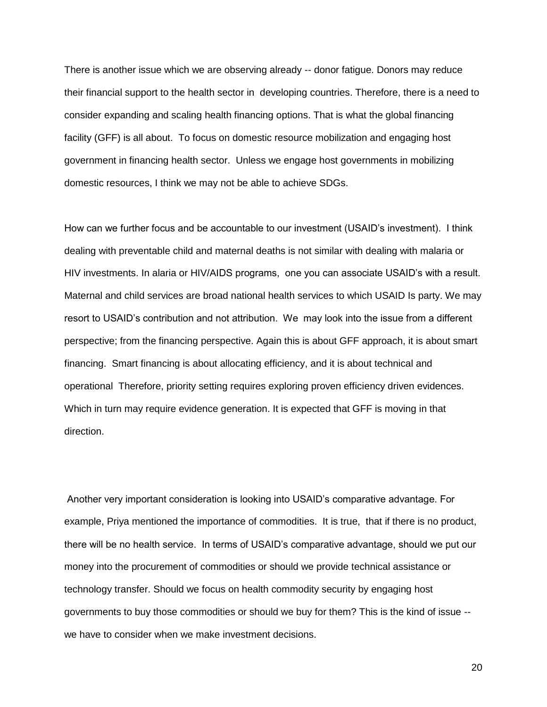There is another issue which we are observing already -- donor fatigue. Donors may reduce their financial support to the health sector in developing countries. Therefore, there is a need to consider expanding and scaling health financing options. That is what the global financing facility (GFF) is all about. To focus on domestic resource mobilization and engaging host government in financing health sector. Unless we engage host governments in mobilizing domestic resources, I think we may not be able to achieve SDGs.

How can we further focus and be accountable to our investment (USAID's investment). I think dealing with preventable child and maternal deaths is not similar with dealing with malaria or HIV investments. In alaria or HIV/AIDS programs, one you can associate USAID's with a result. Maternal and child services are broad national health services to which USAID Is party. We may resort to USAID's contribution and not attribution. We may look into the issue from a different perspective; from the financing perspective. Again this is about GFF approach, it is about smart financing. Smart financing is about allocating efficiency, and it is about technical and operational Therefore, priority setting requires exploring proven efficiency driven evidences. Which in turn may require evidence generation. It is expected that GFF is moving in that direction.

Another very important consideration is looking into USAID's comparative advantage. For example, Priya mentioned the importance of commodities. It is true, that if there is no product, there will be no health service. In terms of USAID's comparative advantage, should we put our money into the procurement of commodities or should we provide technical assistance or technology transfer. Should we focus on health commodity security by engaging host governments to buy those commodities or should we buy for them? This is the kind of issue - we have to consider when we make investment decisions.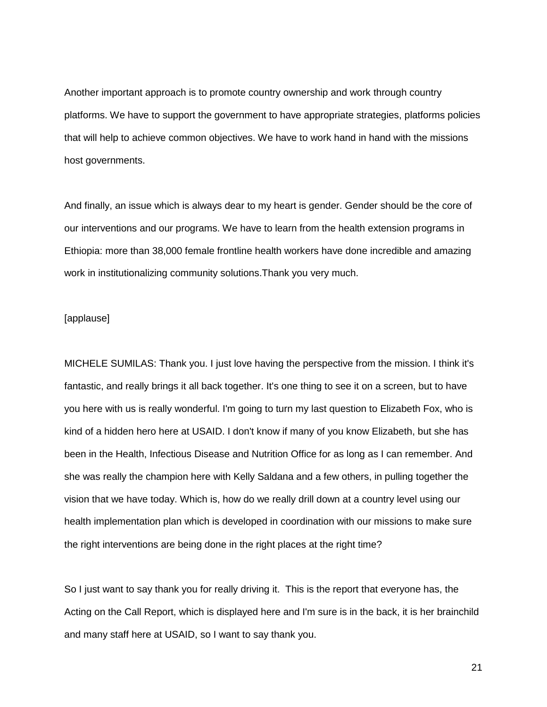Another important approach is to promote country ownership and work through country platforms. We have to support the government to have appropriate strategies, platforms policies that will help to achieve common objectives. We have to work hand in hand with the missions host governments.

And finally, an issue which is always dear to my heart is gender. Gender should be the core of our interventions and our programs. We have to learn from the health extension programs in Ethiopia: more than 38,000 female frontline health workers have done incredible and amazing work in institutionalizing community solutions.Thank you very much.

#### [applause]

MICHELE SUMILAS: Thank you. I just love having the perspective from the mission. I think it's fantastic, and really brings it all back together. It's one thing to see it on a screen, but to have you here with us is really wonderful. I'm going to turn my last question to Elizabeth Fox, who is kind of a hidden hero here at USAID. I don't know if many of you know Elizabeth, but she has been in the Health, Infectious Disease and Nutrition Office for as long as I can remember. And she was really the champion here with Kelly Saldana and a few others, in pulling together the vision that we have today. Which is, how do we really drill down at a country level using our health implementation plan which is developed in coordination with our missions to make sure the right interventions are being done in the right places at the right time?

So I just want to say thank you for really driving it. This is the report that everyone has, the Acting on the Call Report, which is displayed here and I'm sure is in the back, it is her brainchild and many staff here at USAID, so I want to say thank you.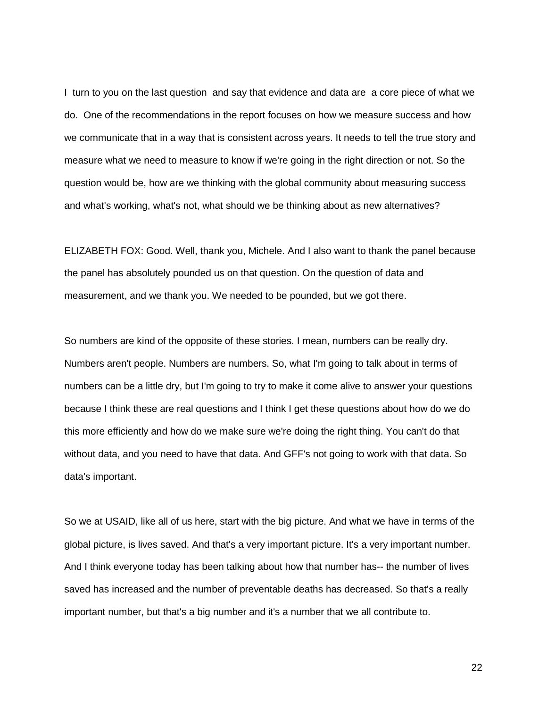I turn to you on the last question and say that evidence and data are a core piece of what we do. One of the recommendations in the report focuses on how we measure success and how we communicate that in a way that is consistent across years. It needs to tell the true story and measure what we need to measure to know if we're going in the right direction or not. So the question would be, how are we thinking with the global community about measuring success and what's working, what's not, what should we be thinking about as new alternatives?

ELIZABETH FOX: Good. Well, thank you, Michele. And I also want to thank the panel because the panel has absolutely pounded us on that question. On the question of data and measurement, and we thank you. We needed to be pounded, but we got there.

So numbers are kind of the opposite of these stories. I mean, numbers can be really dry. Numbers aren't people. Numbers are numbers. So, what I'm going to talk about in terms of numbers can be a little dry, but I'm going to try to make it come alive to answer your questions because I think these are real questions and I think I get these questions about how do we do this more efficiently and how do we make sure we're doing the right thing. You can't do that without data, and you need to have that data. And GFF's not going to work with that data. So data's important.

So we at USAID, like all of us here, start with the big picture. And what we have in terms of the global picture, is lives saved. And that's a very important picture. It's a very important number. And I think everyone today has been talking about how that number has-- the number of lives saved has increased and the number of preventable deaths has decreased. So that's a really important number, but that's a big number and it's a number that we all contribute to.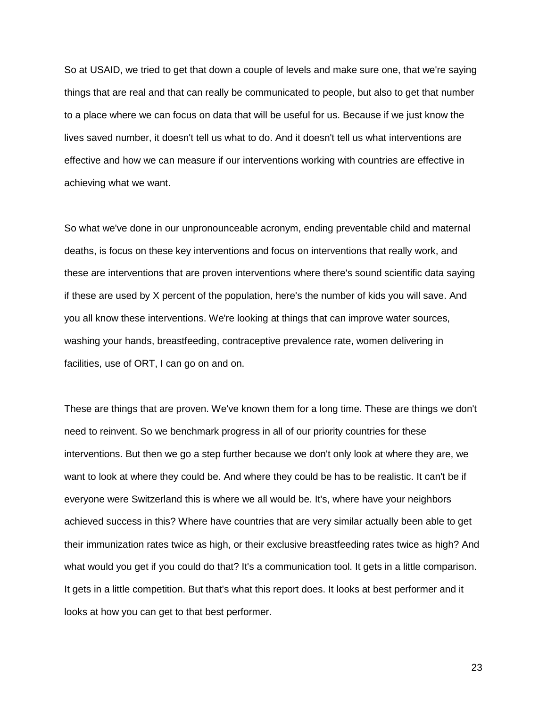So at USAID, we tried to get that down a couple of levels and make sure one, that we're saying things that are real and that can really be communicated to people, but also to get that number to a place where we can focus on data that will be useful for us. Because if we just know the lives saved number, it doesn't tell us what to do. And it doesn't tell us what interventions are effective and how we can measure if our interventions working with countries are effective in achieving what we want.

So what we've done in our unpronounceable acronym, ending preventable child and maternal deaths, is focus on these key interventions and focus on interventions that really work, and these are interventions that are proven interventions where there's sound scientific data saying if these are used by X percent of the population, here's the number of kids you will save. And you all know these interventions. We're looking at things that can improve water sources, washing your hands, breastfeeding, contraceptive prevalence rate, women delivering in facilities, use of ORT, I can go on and on.

These are things that are proven. We've known them for a long time. These are things we don't need to reinvent. So we benchmark progress in all of our priority countries for these interventions. But then we go a step further because we don't only look at where they are, we want to look at where they could be. And where they could be has to be realistic. It can't be if everyone were Switzerland this is where we all would be. It's, where have your neighbors achieved success in this? Where have countries that are very similar actually been able to get their immunization rates twice as high, or their exclusive breastfeeding rates twice as high? And what would you get if you could do that? It's a communication tool. It gets in a little comparison. It gets in a little competition. But that's what this report does. It looks at best performer and it looks at how you can get to that best performer.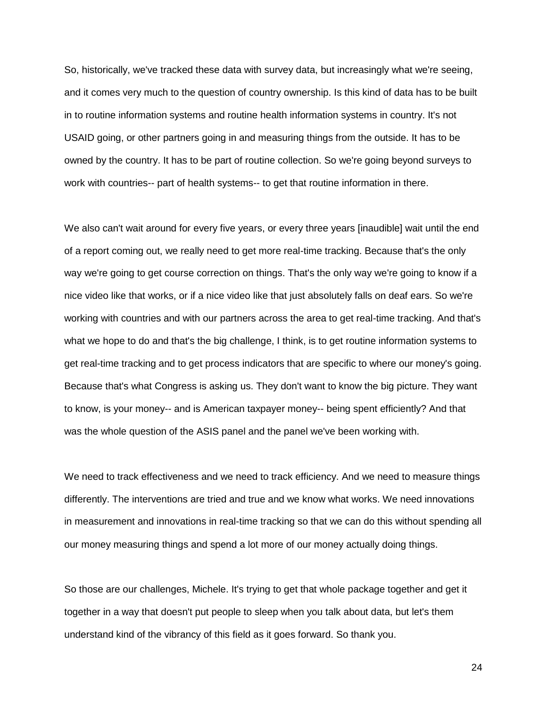So, historically, we've tracked these data with survey data, but increasingly what we're seeing, and it comes very much to the question of country ownership. Is this kind of data has to be built in to routine information systems and routine health information systems in country. It's not USAID going, or other partners going in and measuring things from the outside. It has to be owned by the country. It has to be part of routine collection. So we're going beyond surveys to work with countries-- part of health systems-- to get that routine information in there.

We also can't wait around for every five years, or every three years [inaudible] wait until the end of a report coming out, we really need to get more real-time tracking. Because that's the only way we're going to get course correction on things. That's the only way we're going to know if a nice video like that works, or if a nice video like that just absolutely falls on deaf ears. So we're working with countries and with our partners across the area to get real-time tracking. And that's what we hope to do and that's the big challenge, I think, is to get routine information systems to get real-time tracking and to get process indicators that are specific to where our money's going. Because that's what Congress is asking us. They don't want to know the big picture. They want to know, is your money-- and is American taxpayer money-- being spent efficiently? And that was the whole question of the ASIS panel and the panel we've been working with.

We need to track effectiveness and we need to track efficiency. And we need to measure things differently. The interventions are tried and true and we know what works. We need innovations in measurement and innovations in real-time tracking so that we can do this without spending all our money measuring things and spend a lot more of our money actually doing things.

So those are our challenges, Michele. It's trying to get that whole package together and get it together in a way that doesn't put people to sleep when you talk about data, but let's them understand kind of the vibrancy of this field as it goes forward. So thank you.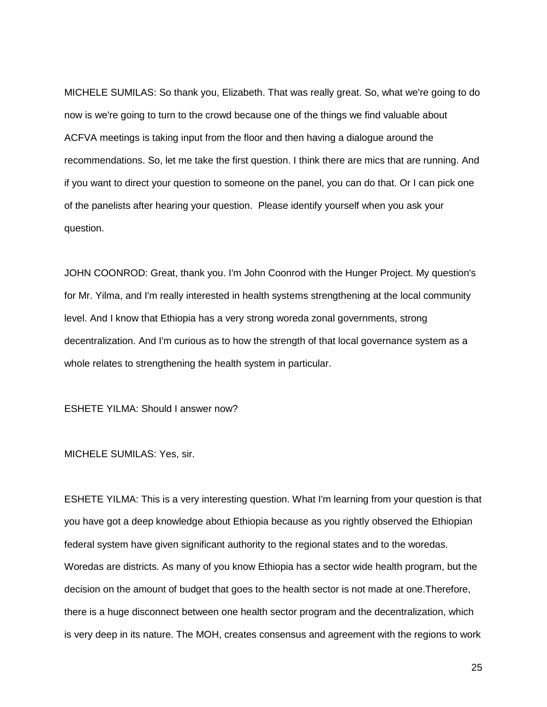MICHELE SUMILAS: So thank you, Elizabeth. That was really great. So, what we're going to do now is we're going to turn to the crowd because one of the things we find valuable about ACFVA meetings is taking input from the floor and then having a dialogue around the recommendations. So, let me take the first question. I think there are mics that are running. And if you want to direct your question to someone on the panel, you can do that. Or I can pick one of the panelists after hearing your question. Please identify yourself when you ask your question.

JOHN COONROD: Great, thank you. I'm John Coonrod with the Hunger Project. My question's for Mr. Yilma, and I'm really interested in health systems strengthening at the local community level. And I know that Ethiopia has a very strong woreda zonal governments, strong decentralization. And I'm curious as to how the strength of that local governance system as a whole relates to strengthening the health system in particular.

ESHETE YILMA: Should I answer now?

MICHELE SUMILAS: Yes, sir.

ESHETE YILMA: This is a very interesting question. What I'm learning from your question is that you have got a deep knowledge about Ethiopia because as you rightly observed the Ethiopian federal system have given significant authority to the regional states and to the woredas. Woredas are districts. As many of you know Ethiopia has a sector wide health program, but the decision on the amount of budget that goes to the health sector is not made at one.Therefore, there is a huge disconnect between one health sector program and the decentralization, which is very deep in its nature. The MOH, creates consensus and agreement with the regions to work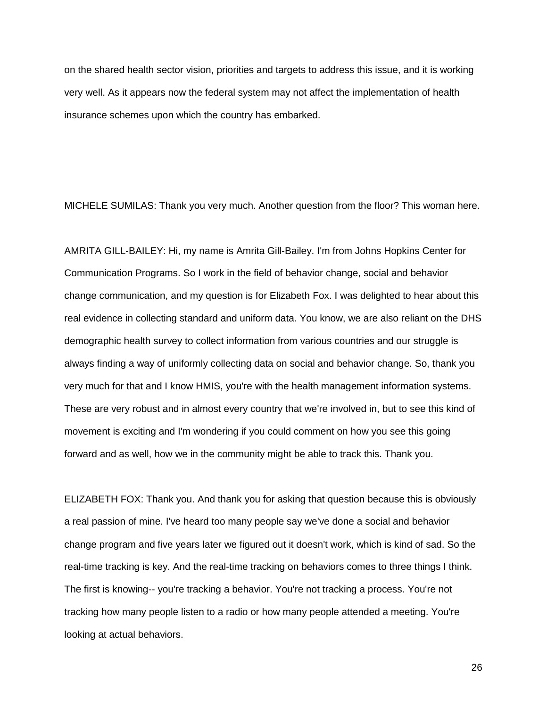on the shared health sector vision, priorities and targets to address this issue, and it is working very well. As it appears now the federal system may not affect the implementation of health insurance schemes upon which the country has embarked.

MICHELE SUMILAS: Thank you very much. Another question from the floor? This woman here.

AMRITA GILL-BAILEY: Hi, my name is Amrita Gill-Bailey. I'm from Johns Hopkins Center for Communication Programs. So I work in the field of behavior change, social and behavior change communication, and my question is for Elizabeth Fox. I was delighted to hear about this real evidence in collecting standard and uniform data. You know, we are also reliant on the DHS demographic health survey to collect information from various countries and our struggle is always finding a way of uniformly collecting data on social and behavior change. So, thank you very much for that and I know HMIS, you're with the health management information systems. These are very robust and in almost every country that we're involved in, but to see this kind of movement is exciting and I'm wondering if you could comment on how you see this going forward and as well, how we in the community might be able to track this. Thank you.

ELIZABETH FOX: Thank you. And thank you for asking that question because this is obviously a real passion of mine. I've heard too many people say we've done a social and behavior change program and five years later we figured out it doesn't work, which is kind of sad. So the real-time tracking is key. And the real-time tracking on behaviors comes to three things I think. The first is knowing-- you're tracking a behavior. You're not tracking a process. You're not tracking how many people listen to a radio or how many people attended a meeting. You're looking at actual behaviors.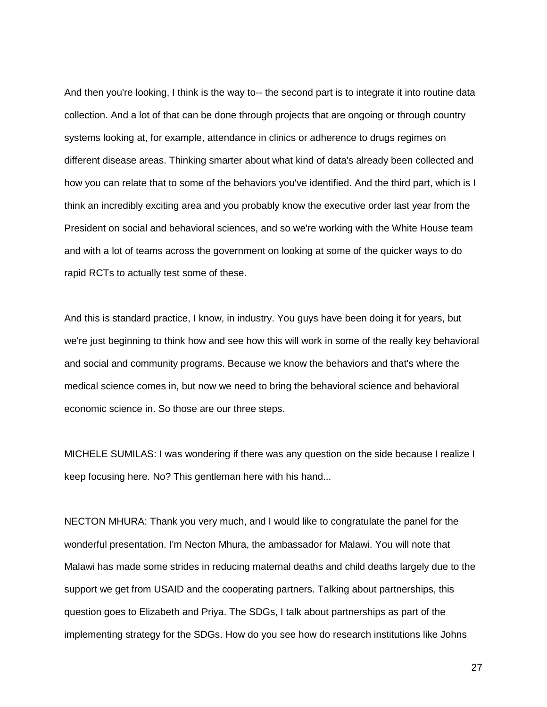And then you're looking, I think is the way to-- the second part is to integrate it into routine data collection. And a lot of that can be done through projects that are ongoing or through country systems looking at, for example, attendance in clinics or adherence to drugs regimes on different disease areas. Thinking smarter about what kind of data's already been collected and how you can relate that to some of the behaviors you've identified. And the third part, which is I think an incredibly exciting area and you probably know the executive order last year from the President on social and behavioral sciences, and so we're working with the White House team and with a lot of teams across the government on looking at some of the quicker ways to do rapid RCTs to actually test some of these.

And this is standard practice, I know, in industry. You guys have been doing it for years, but we're just beginning to think how and see how this will work in some of the really key behavioral and social and community programs. Because we know the behaviors and that's where the medical science comes in, but now we need to bring the behavioral science and behavioral economic science in. So those are our three steps.

MICHELE SUMILAS: I was wondering if there was any question on the side because I realize I keep focusing here. No? This gentleman here with his hand...

NECTON MHURA: Thank you very much, and I would like to congratulate the panel for the wonderful presentation. I'm Necton Mhura, the ambassador for Malawi. You will note that Malawi has made some strides in reducing maternal deaths and child deaths largely due to the support we get from USAID and the cooperating partners. Talking about partnerships, this question goes to Elizabeth and Priya. The SDGs, I talk about partnerships as part of the implementing strategy for the SDGs. How do you see how do research institutions like Johns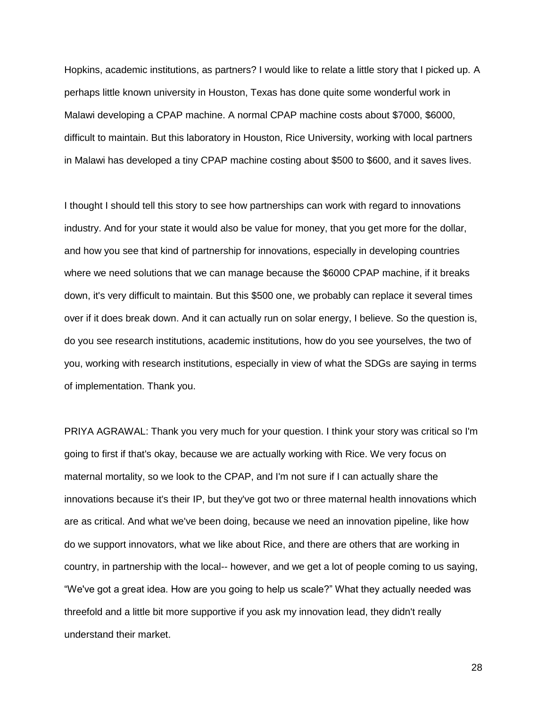Hopkins, academic institutions, as partners? I would like to relate a little story that I picked up. A perhaps little known university in Houston, Texas has done quite some wonderful work in Malawi developing a CPAP machine. A normal CPAP machine costs about \$7000, \$6000, difficult to maintain. But this laboratory in Houston, Rice University, working with local partners in Malawi has developed a tiny CPAP machine costing about \$500 to \$600, and it saves lives.

I thought I should tell this story to see how partnerships can work with regard to innovations industry. And for your state it would also be value for money, that you get more for the dollar, and how you see that kind of partnership for innovations, especially in developing countries where we need solutions that we can manage because the \$6000 CPAP machine, if it breaks down, it's very difficult to maintain. But this \$500 one, we probably can replace it several times over if it does break down. And it can actually run on solar energy, I believe. So the question is, do you see research institutions, academic institutions, how do you see yourselves, the two of you, working with research institutions, especially in view of what the SDGs are saying in terms of implementation. Thank you.

PRIYA AGRAWAL: Thank you very much for your question. I think your story was critical so I'm going to first if that's okay, because we are actually working with Rice. We very focus on maternal mortality, so we look to the CPAP, and I'm not sure if I can actually share the innovations because it's their IP, but they've got two or three maternal health innovations which are as critical. And what we've been doing, because we need an innovation pipeline, like how do we support innovators, what we like about Rice, and there are others that are working in country, in partnership with the local-- however, and we get a lot of people coming to us saying, "We've got a great idea. How are you going to help us scale?" What they actually needed was threefold and a little bit more supportive if you ask my innovation lead, they didn't really understand their market.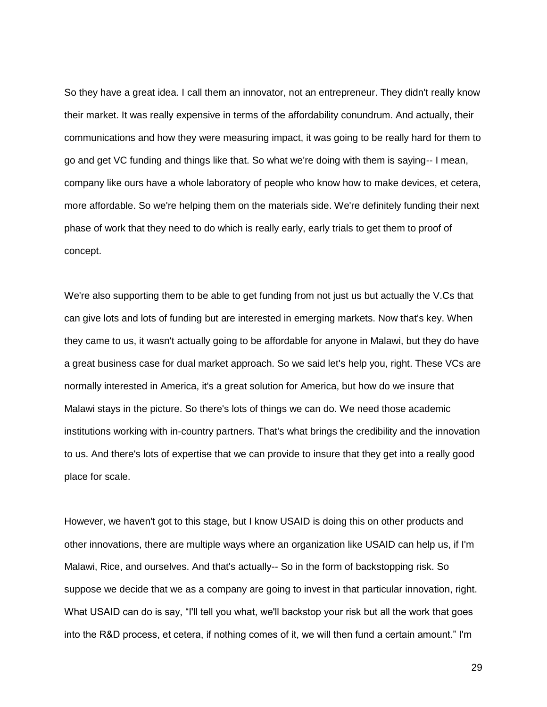So they have a great idea. I call them an innovator, not an entrepreneur. They didn't really know their market. It was really expensive in terms of the affordability conundrum. And actually, their communications and how they were measuring impact, it was going to be really hard for them to go and get VC funding and things like that. So what we're doing with them is saying-- I mean, company like ours have a whole laboratory of people who know how to make devices, et cetera, more affordable. So we're helping them on the materials side. We're definitely funding their next phase of work that they need to do which is really early, early trials to get them to proof of concept.

We're also supporting them to be able to get funding from not just us but actually the V.Cs that can give lots and lots of funding but are interested in emerging markets. Now that's key. When they came to us, it wasn't actually going to be affordable for anyone in Malawi, but they do have a great business case for dual market approach. So we said let's help you, right. These VCs are normally interested in America, it's a great solution for America, but how do we insure that Malawi stays in the picture. So there's lots of things we can do. We need those academic institutions working with in-country partners. That's what brings the credibility and the innovation to us. And there's lots of expertise that we can provide to insure that they get into a really good place for scale.

However, we haven't got to this stage, but I know USAID is doing this on other products and other innovations, there are multiple ways where an organization like USAID can help us, if I'm Malawi, Rice, and ourselves. And that's actually-- So in the form of backstopping risk. So suppose we decide that we as a company are going to invest in that particular innovation, right. What USAID can do is say, "I'll tell you what, we'll backstop your risk but all the work that goes into the R&D process, et cetera, if nothing comes of it, we will then fund a certain amount." I'm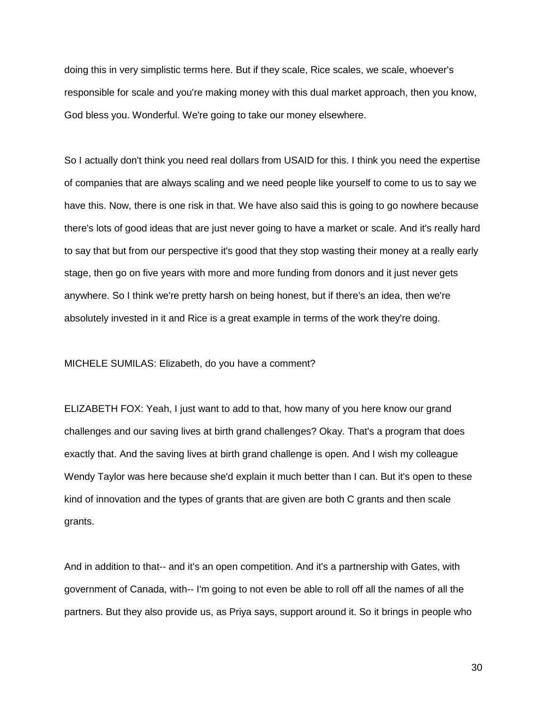doing this in very simplistic terms here. But if they scale, Rice scales, we scale, whoever's responsible for scale and you're making money with this dual market approach, then you know, God bless you. Wonderful. We're going to take our money elsewhere.

So I actually don't think you need real dollars from USAID for this. I think you need the expertise of companies that are always scaling and we need people like yourself to come to us to say we have this. Now, there is one risk in that. We have also said this is going to go nowhere because there's lots of good ideas that are just never going to have a market or scale. And it's really hard to say that but from our perspective it's good that they stop wasting their money at a really early stage, then go on five years with more and more funding from donors and it just never gets anywhere. So I think we're pretty harsh on being honest, but if there's an idea, then we're absolutely invested in it and Rice is a great example in terms of the work they're doing.

MICHELE SUMILAS: Elizabeth, do you have a comment?

ELIZABETH FOX: Yeah, I just want to add to that, how many of you here know our grand challenges and our saving lives at birth grand challenges? Okay. That's a program that does exactly that. And the saving lives at birth grand challenge is open. And I wish my colleague Wendy Taylor was here because she'd explain it much better than I can. But it's open to these kind of innovation and the types of grants that are given are both C grants and then scale grants.

And in addition to that-- and it's an open competition. And it's a partnership with Gates, with government of Canada, with-- I'm going to not even be able to roll off all the names of all the partners. But they also provide us, as Priya says, support around it. So it brings in people who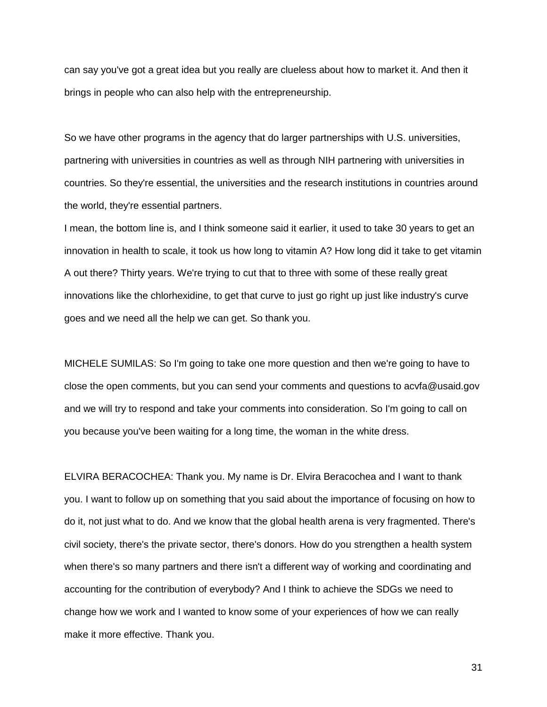can say you've got a great idea but you really are clueless about how to market it. And then it brings in people who can also help with the entrepreneurship.

So we have other programs in the agency that do larger partnerships with U.S. universities, partnering with universities in countries as well as through NIH partnering with universities in countries. So they're essential, the universities and the research institutions in countries around the world, they're essential partners.

I mean, the bottom line is, and I think someone said it earlier, it used to take 30 years to get an innovation in health to scale, it took us how long to vitamin A? How long did it take to get vitamin A out there? Thirty years. We're trying to cut that to three with some of these really great innovations like the chlorhexidine, to get that curve to just go right up just like industry's curve goes and we need all the help we can get. So thank you.

MICHELE SUMILAS: So I'm going to take one more question and then we're going to have to close the open comments, but you can send your comments and questions to acvfa@usaid.gov and we will try to respond and take your comments into consideration. So I'm going to call on you because you've been waiting for a long time, the woman in the white dress.

ELVIRA BERACOCHEA: Thank you. My name is Dr. Elvira Beracochea and I want to thank you. I want to follow up on something that you said about the importance of focusing on how to do it, not just what to do. And we know that the global health arena is very fragmented. There's civil society, there's the private sector, there's donors. How do you strengthen a health system when there's so many partners and there isn't a different way of working and coordinating and accounting for the contribution of everybody? And I think to achieve the SDGs we need to change how we work and I wanted to know some of your experiences of how we can really make it more effective. Thank you.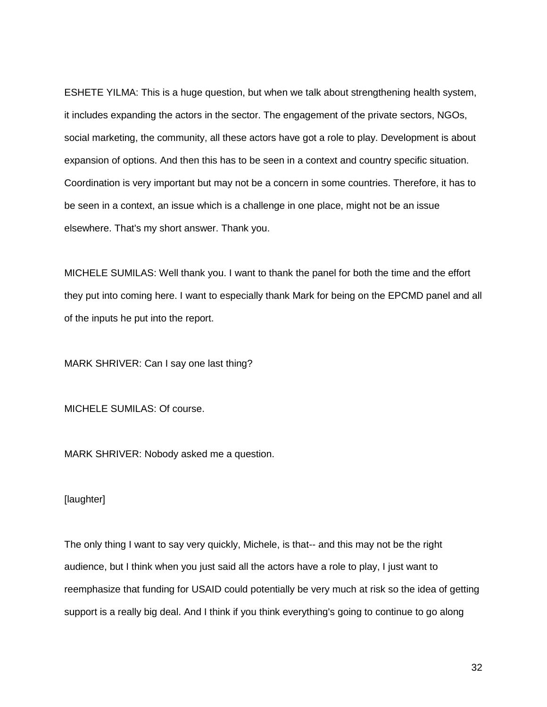ESHETE YILMA: This is a huge question, but when we talk about strengthening health system, it includes expanding the actors in the sector. The engagement of the private sectors, NGOs, social marketing, the community, all these actors have got a role to play. Development is about expansion of options. And then this has to be seen in a context and country specific situation. Coordination is very important but may not be a concern in some countries. Therefore, it has to be seen in a context, an issue which is a challenge in one place, might not be an issue elsewhere. That's my short answer. Thank you.

MICHELE SUMILAS: Well thank you. I want to thank the panel for both the time and the effort they put into coming here. I want to especially thank Mark for being on the EPCMD panel and all of the inputs he put into the report.

MARK SHRIVER: Can I say one last thing?

MICHELE SUMILAS: Of course.

MARK SHRIVER: Nobody asked me a question.

#### [laughter]

The only thing I want to say very quickly, Michele, is that-- and this may not be the right audience, but I think when you just said all the actors have a role to play, I just want to reemphasize that funding for USAID could potentially be very much at risk so the idea of getting support is a really big deal. And I think if you think everything's going to continue to go along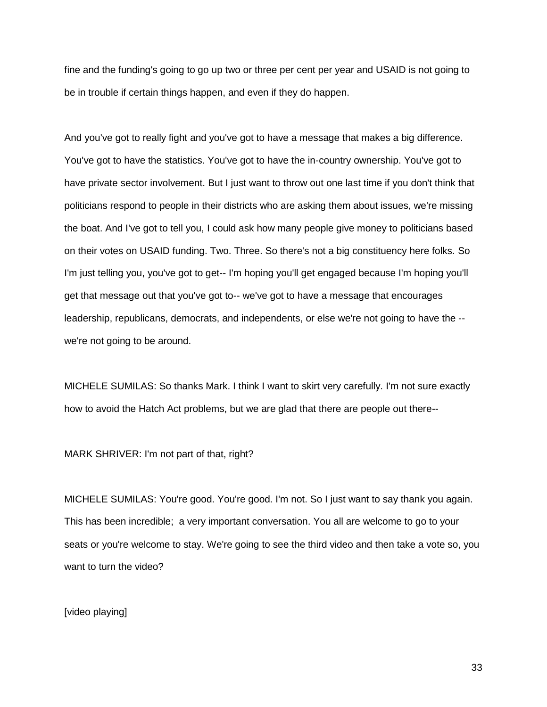fine and the funding's going to go up two or three per cent per year and USAID is not going to be in trouble if certain things happen, and even if they do happen.

And you've got to really fight and you've got to have a message that makes a big difference. You've got to have the statistics. You've got to have the in-country ownership. You've got to have private sector involvement. But I just want to throw out one last time if you don't think that politicians respond to people in their districts who are asking them about issues, we're missing the boat. And I've got to tell you, I could ask how many people give money to politicians based on their votes on USAID funding. Two. Three. So there's not a big constituency here folks. So I'm just telling you, you've got to get-- I'm hoping you'll get engaged because I'm hoping you'll get that message out that you've got to-- we've got to have a message that encourages leadership, republicans, democrats, and independents, or else we're not going to have the - we're not going to be around.

MICHELE SUMILAS: So thanks Mark. I think I want to skirt very carefully. I'm not sure exactly how to avoid the Hatch Act problems, but we are glad that there are people out there--

MARK SHRIVER: I'm not part of that, right?

MICHELE SUMILAS: You're good. You're good. I'm not. So I just want to say thank you again. This has been incredible; a very important conversation. You all are welcome to go to your seats or you're welcome to stay. We're going to see the third video and then take a vote so, you want to turn the video?

[video playing]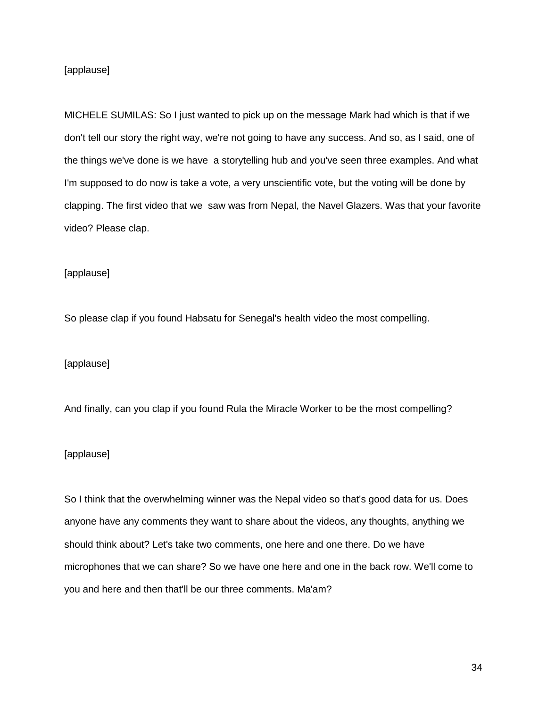# [applause]

MICHELE SUMILAS: So I just wanted to pick up on the message Mark had which is that if we don't tell our story the right way, we're not going to have any success. And so, as I said, one of the things we've done is we have a storytelling hub and you've seen three examples. And what I'm supposed to do now is take a vote, a very unscientific vote, but the voting will be done by clapping. The first video that we saw was from Nepal, the Navel Glazers. Was that your favorite video? Please clap.

## [applause]

So please clap if you found Habsatu for Senegal's health video the most compelling.

[applause]

And finally, can you clap if you found Rula the Miracle Worker to be the most compelling?

#### [applause]

So I think that the overwhelming winner was the Nepal video so that's good data for us. Does anyone have any comments they want to share about the videos, any thoughts, anything we should think about? Let's take two comments, one here and one there. Do we have microphones that we can share? So we have one here and one in the back row. We'll come to you and here and then that'll be our three comments. Ma'am?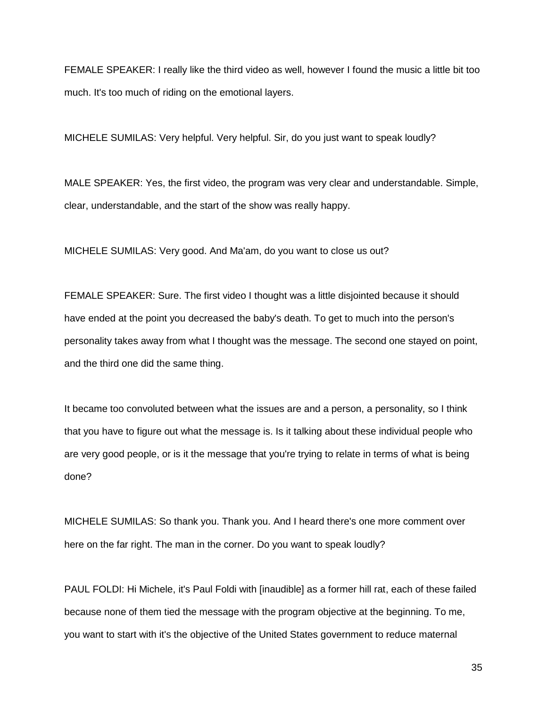FEMALE SPEAKER: I really like the third video as well, however I found the music a little bit too much. It's too much of riding on the emotional layers.

MICHELE SUMILAS: Very helpful. Very helpful. Sir, do you just want to speak loudly?

MALE SPEAKER: Yes, the first video, the program was very clear and understandable. Simple, clear, understandable, and the start of the show was really happy.

MICHELE SUMILAS: Very good. And Ma'am, do you want to close us out?

FEMALE SPEAKER: Sure. The first video I thought was a little disjointed because it should have ended at the point you decreased the baby's death. To get to much into the person's personality takes away from what I thought was the message. The second one stayed on point, and the third one did the same thing.

It became too convoluted between what the issues are and a person, a personality, so I think that you have to figure out what the message is. Is it talking about these individual people who are very good people, or is it the message that you're trying to relate in terms of what is being done?

MICHELE SUMILAS: So thank you. Thank you. And I heard there's one more comment over here on the far right. The man in the corner. Do you want to speak loudly?

PAUL FOLDI: Hi Michele, it's Paul Foldi with [inaudible] as a former hill rat, each of these failed because none of them tied the message with the program objective at the beginning. To me, you want to start with it's the objective of the United States government to reduce maternal